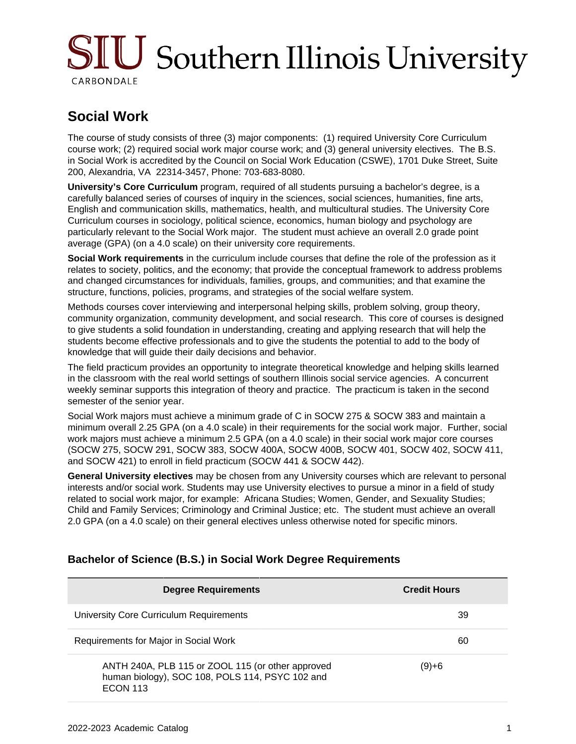# SIU Southern Illinois University CARBONDALE

## **Social Work**

The course of study consists of three (3) major components: (1) required University Core Curriculum course work; (2) required social work major course work; and (3) general university electives. The B.S. in Social Work is accredited by the Council on Social Work Education (CSWE), 1701 Duke Street, Suite 200, Alexandria, VA 22314-3457, Phone: 703-683-8080.

**University's Core Curriculum** program, required of all students pursuing a bachelor's degree, is a carefully balanced series of courses of inquiry in the sciences, social sciences, humanities, fine arts, English and communication skills, mathematics, health, and multicultural studies. The University Core Curriculum courses in sociology, political science, economics, human biology and psychology are particularly relevant to the Social Work major. The student must achieve an overall 2.0 grade point average (GPA) (on a 4.0 scale) on their university core requirements.

**Social Work requirements** in the curriculum include courses that define the role of the profession as it relates to society, politics, and the economy; that provide the conceptual framework to address problems and changed circumstances for individuals, families, groups, and communities; and that examine the structure, functions, policies, programs, and strategies of the social welfare system.

Methods courses cover interviewing and interpersonal helping skills, problem solving, group theory, community organization, community development, and social research. This core of courses is designed to give students a solid foundation in understanding, creating and applying research that will help the students become effective professionals and to give the students the potential to add to the body of knowledge that will guide their daily decisions and behavior.

The field practicum provides an opportunity to integrate theoretical knowledge and helping skills learned in the classroom with the real world settings of southern Illinois social service agencies. A concurrent weekly seminar supports this integration of theory and practice. The practicum is taken in the second semester of the senior year.

Social Work majors must achieve a minimum grade of C in SOCW 275 & SOCW 383 and maintain a minimum overall 2.25 GPA (on a 4.0 scale) in their requirements for the social work major. Further, social work majors must achieve a minimum 2.5 GPA (on a 4.0 scale) in their social work major core courses (SOCW 275, SOCW 291, SOCW 383, SOCW 400A, SOCW 400B, SOCW 401, SOCW 402, SOCW 411, and SOCW 421) to enroll in field practicum (SOCW 441 & SOCW 442).

**General University electives** may be chosen from any University courses which are relevant to personal interests and/or social work. Students may use University electives to pursue a minor in a field of study related to social work major, for example: Africana Studies; Women, Gender, and Sexuality Studies; Child and Family Services; Criminology and Criminal Justice; etc. The student must achieve an overall 2.0 GPA (on a 4.0 scale) on their general electives unless otherwise noted for specific minors.

| <b>Degree Requirements</b>                                                                                              | <b>Credit Hours</b> |
|-------------------------------------------------------------------------------------------------------------------------|---------------------|
| University Core Curriculum Requirements                                                                                 | 39                  |
| Requirements for Major in Social Work                                                                                   | 60                  |
| ANTH 240A, PLB 115 or ZOOL 115 (or other approved<br>human biology), SOC 108, POLS 114, PSYC 102 and<br><b>ECON 113</b> | (9)+6               |

## **Bachelor of Science (B.S.) in Social Work Degree Requirements**